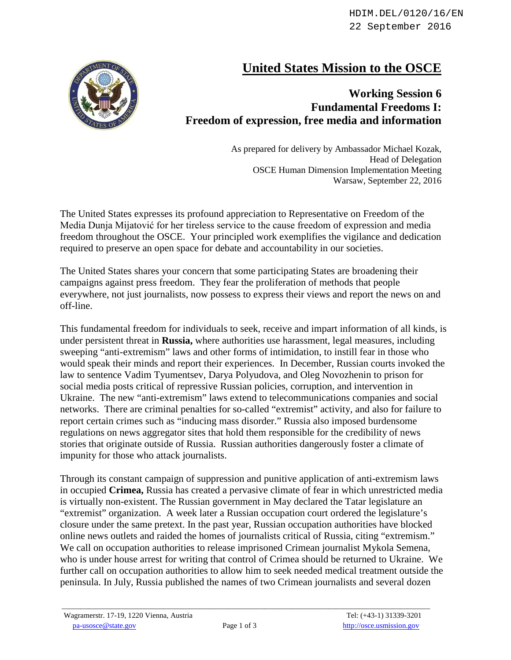## **United States Mission to the OSCE**



## **Working Session 6 Fundamental Freedoms I: Freedom of expression, free media and information**

As prepared for delivery by Ambassador Michael Kozak, Head of Delegation OSCE Human Dimension Implementation Meeting Warsaw, September 22, 2016

The United States expresses its profound appreciation to Representative on Freedom of the Media Dunja Mijatović for her tireless service to the cause freedom of expression and media freedom throughout the OSCE. Your principled work exemplifies the vigilance and dedication required to preserve an open space for debate and accountability in our societies.

The United States shares your concern that some participating States are broadening their campaigns against press freedom. They fear the proliferation of methods that people everywhere, not just journalists, now possess to express their views and report the news on and off-line.

This fundamental freedom for individuals to seek, receive and impart information of all kinds, is under persistent threat in **Russia,** where authorities use harassment, legal measures, including sweeping "anti-extremism" laws and other forms of intimidation, to instill fear in those who would speak their minds and report their experiences. In December, Russian courts invoked the law to sentence Vadim Tyumentsev, Darya Polyudova, and Oleg Novozhenin to prison for social media posts critical of repressive Russian policies, corruption, and intervention in Ukraine. The new "anti-extremism" laws extend to telecommunications companies and social networks. There are criminal penalties for so-called "extremist" activity, and also for failure to report certain crimes such as "inducing mass disorder." Russia also imposed burdensome regulations on news aggregator sites that hold them responsible for the credibility of news stories that originate outside of Russia. Russian authorities dangerously foster a climate of impunity for those who attack journalists.

Through its constant campaign of suppression and punitive application of anti-extremism laws in occupied **Crimea,** Russia has created a pervasive climate of fear in which unrestricted media is virtually non-existent. The Russian government in May declared the Tatar legislature an "extremist" organization. A week later a Russian occupation court ordered the legislature's closure under the same pretext. In the past year, Russian occupation authorities have blocked online news outlets and raided the homes of journalists critical of Russia, citing "extremism." We call on occupation authorities to release imprisoned Crimean journalist Mykola Semena, who is under house arrest for writing that control of Crimea should be returned to Ukraine. We further call on occupation authorities to allow him to seek needed medical treatment outside the peninsula. In July, Russia published the names of two Crimean journalists and several dozen

 $\_$  ,  $\_$  ,  $\_$  ,  $\_$  ,  $\_$  ,  $\_$  ,  $\_$  ,  $\_$  ,  $\_$  ,  $\_$  ,  $\_$  ,  $\_$  ,  $\_$  ,  $\_$  ,  $\_$  ,  $\_$  ,  $\_$  ,  $\_$  ,  $\_$  ,  $\_$  ,  $\_$  ,  $\_$  ,  $\_$  ,  $\_$  ,  $\_$  ,  $\_$  ,  $\_$  ,  $\_$  ,  $\_$  ,  $\_$  ,  $\_$  ,  $\_$  ,  $\_$  ,  $\_$  ,  $\_$  ,  $\_$  ,  $\_$  ,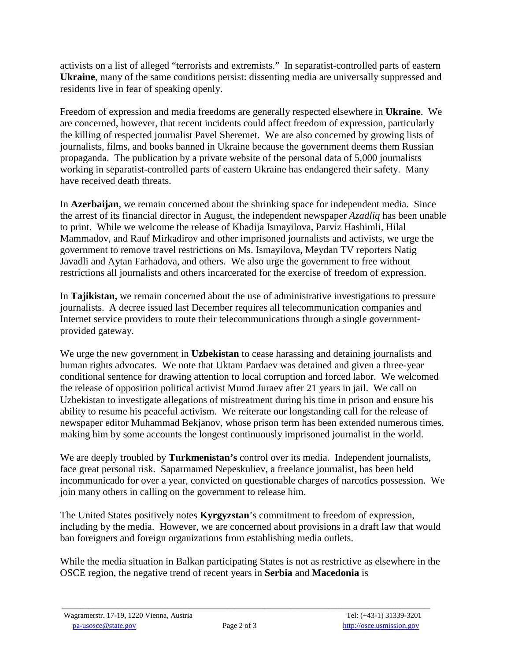activists on a list of alleged "terrorists and extremists." In separatist-controlled parts of eastern **Ukraine**, many of the same conditions persist: dissenting media are universally suppressed and residents live in fear of speaking openly.

Freedom of expression and media freedoms are generally respected elsewhere in **Ukraine**. We are concerned, however, that recent incidents could affect freedom of expression, particularly the killing of respected journalist Pavel Sheremet. We are also concerned by growing lists of journalists, films, and books banned in Ukraine because the government deems them Russian propaganda. The publication by a private website of the personal data of 5,000 journalists working in separatist-controlled parts of eastern Ukraine has endangered their safety. Many have received death threats.

In **Azerbaijan**, we remain concerned about the shrinking space for independent media. Since the arrest of its financial director in August, the independent newspaper *Azadliq* has been unable to print. While we welcome the release of Khadija Ismayilova, Parviz Hashimli, Hilal Mammadov, and Rauf Mirkadirov and other imprisoned journalists and activists, we urge the government to remove travel restrictions on Ms. Ismayilova, Meydan TV reporters Natig Javadli and Aytan Farhadova, and others. We also urge the government to free without restrictions all journalists and others incarcerated for the exercise of freedom of expression.

In **Tajikistan,** we remain concerned about the use of administrative investigations to pressure journalists. A decree issued last December requires all telecommunication companies and Internet service providers to route their telecommunications through a single governmentprovided gateway.

We urge the new government in **Uzbekistan** to cease harassing and detaining journalists and human rights advocates. We note that Uktam Pardaev was detained and given a three-year conditional sentence for drawing attention to local corruption and forced labor. We welcomed the release of opposition political activist Murod Juraev after 21 years in jail. We call on Uzbekistan to investigate allegations of mistreatment during his time in prison and ensure his ability to resume his peaceful activism. We reiterate our longstanding call for the release of newspaper editor Muhammad Bekjanov, whose prison term has been extended numerous times, making him by some accounts the longest continuously imprisoned journalist in the world.

We are deeply troubled by **Turkmenistan's** control over its media. Independent journalists, face great personal risk. Saparmamed Nepeskuliev, a freelance journalist, has been held incommunicado for over a year, convicted on questionable charges of narcotics possession. We join many others in calling on the government to release him.

The United States positively notes **Kyrgyzstan**'s commitment to freedom of expression, including by the media. However, we are concerned about provisions in a draft law that would ban foreigners and foreign organizations from establishing media outlets.

While the media situation in Balkan participating States is not as restrictive as elsewhere in the OSCE region, the negative trend of recent years in **Serbia** and **Macedonia** is

 $\_$  ,  $\_$  ,  $\_$  ,  $\_$  ,  $\_$  ,  $\_$  ,  $\_$  ,  $\_$  ,  $\_$  ,  $\_$  ,  $\_$  ,  $\_$  ,  $\_$  ,  $\_$  ,  $\_$  ,  $\_$  ,  $\_$  ,  $\_$  ,  $\_$  ,  $\_$  ,  $\_$  ,  $\_$  ,  $\_$  ,  $\_$  ,  $\_$  ,  $\_$  ,  $\_$  ,  $\_$  ,  $\_$  ,  $\_$  ,  $\_$  ,  $\_$  ,  $\_$  ,  $\_$  ,  $\_$  ,  $\_$  ,  $\_$  ,